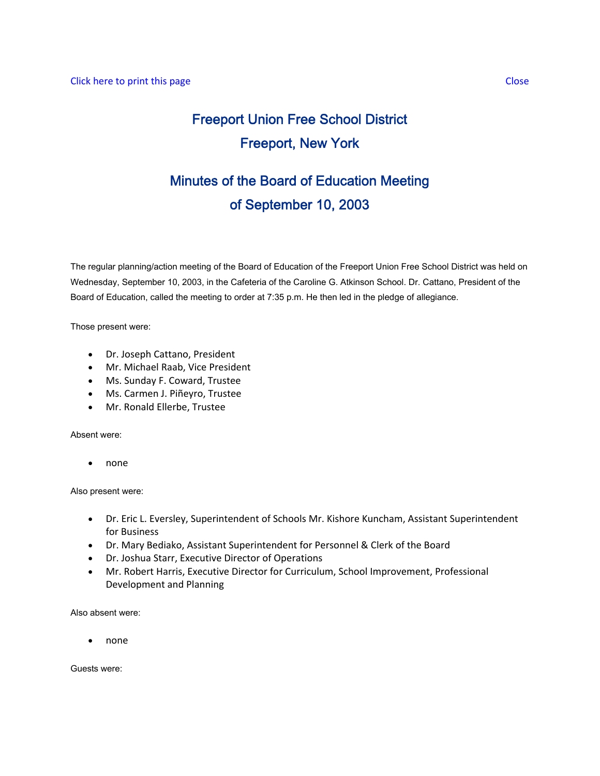# Freeport Union Free School District Freeport, New York

# Minutes of the Board of Education Meeting of September 10, 2003

The regular planning/action meeting of the Board of Education of the Freeport Union Free School District was held on Wednesday, September 10, 2003, in the Cafeteria of the Caroline G. Atkinson School. Dr. Cattano, President of the Board of Education, called the meeting to order at 7:35 p.m. He then led in the pledge of allegiance.

Those present were:

- Dr. Joseph Cattano, President
- Mr. Michael Raab, Vice President
- Ms. Sunday F. Coward, Trustee
- Ms. Carmen J. Piñeyro, Trustee
- Mr. Ronald Ellerbe, Trustee

Absent were:

• none

Also present were:

- Dr. Eric L. Eversley, Superintendent of Schools Mr. Kishore Kuncham, Assistant Superintendent for Business
- Dr. Mary Bediako, Assistant Superintendent for Personnel & Clerk of the Board
- Dr. Joshua Starr, Executive Director of Operations
- Mr. Robert Harris, Executive Director for Curriculum, School Improvement, Professional Development and Planning

Also absent were:

• none

Guests were: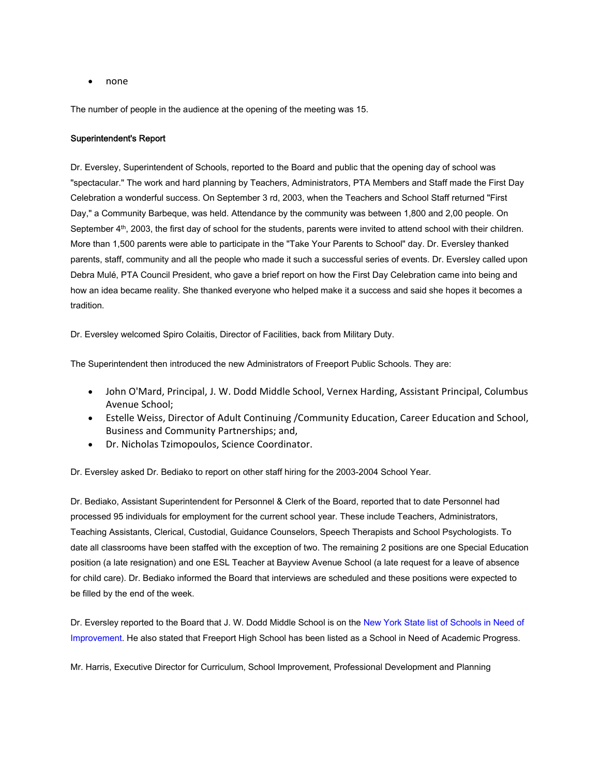• none

The number of people in the audience at the opening of the meeting was 15.

## Superintendent's Report

Dr. Eversley, Superintendent of Schools, reported to the Board and public that the opening day of school was "spectacular." The work and hard planning by Teachers, Administrators, PTA Members and Staff made the First Day Celebration a wonderful success. On September 3 rd, 2003, when the Teachers and School Staff returned "First Day," a Community Barbeque, was held. Attendance by the community was between 1,800 and 2,00 people. On September 4<sup>th</sup>, 2003, the first day of school for the students, parents were invited to attend school with their children. More than 1,500 parents were able to participate in the "Take Your Parents to School" day. Dr. Eversley thanked parents, staff, community and all the people who made it such a successful series of events. Dr. Eversley called upon Debra Mulé, PTA Council President, who gave a brief report on how the First Day Celebration came into being and how an idea became reality. She thanked everyone who helped make it a success and said she hopes it becomes a tradition.

Dr. Eversley welcomed Spiro Colaitis, Director of Facilities, back from Military Duty.

The Superintendent then introduced the new Administrators of Freeport Public Schools. They are:

- John O'Mard, Principal, J. W. Dodd Middle School, Vernex Harding, Assistant Principal, Columbus Avenue School;
- Estelle Weiss, Director of Adult Continuing /Community Education, Career Education and School, Business and Community Partnerships; and,
- Dr. Nicholas Tzimopoulos, Science Coordinator.

Dr. Eversley asked Dr. Bediako to report on other staff hiring for the 2003-2004 School Year.

Dr. Bediako, Assistant Superintendent for Personnel & Clerk of the Board, reported that to date Personnel had processed 95 individuals for employment for the current school year. These include Teachers, Administrators, Teaching Assistants, Clerical, Custodial, Guidance Counselors, Speech Therapists and School Psychologists. To date all classrooms have been staffed with the exception of two. The remaining 2 positions are one Special Education position (a late resignation) and one ESL Teacher at Bayview Avenue School (a late request for a leave of absence for child care). Dr. Bediako informed the Board that interviews are scheduled and these positions were expected to be filled by the end of the week.

Dr. Eversley reported to the Board that J. W. Dodd Middle School is on the New York State list of Schools in Need of Improvement. He also stated that Freeport High School has been listed as a School in Need of Academic Progress.

Mr. Harris, Executive Director for Curriculum, School Improvement, Professional Development and Planning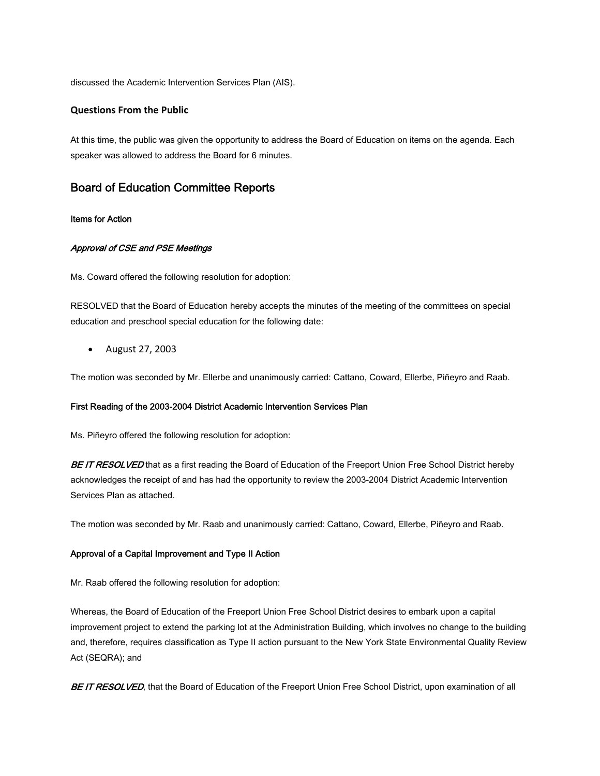discussed the Academic Intervention Services Plan (AIS).

## **Questions From the Public**

At this time, the public was given the opportunity to address the Board of Education on items on the agenda. Each speaker was allowed to address the Board for 6 minutes.

# Board of Education Committee Reports

#### Items for Action

### Approval of CSE and PSE Meetings

Ms. Coward offered the following resolution for adoption:

RESOLVED that the Board of Education hereby accepts the minutes of the meeting of the committees on special education and preschool special education for the following date:

• August 27, 2003

The motion was seconded by Mr. Ellerbe and unanimously carried: Cattano, Coward, Ellerbe, Piñeyro and Raab.

#### First Reading of the 2003-2004 District Academic Intervention Services Plan

Ms. Piñeyro offered the following resolution for adoption:

BE IT RESOLVED that as a first reading the Board of Education of the Freeport Union Free School District hereby acknowledges the receipt of and has had the opportunity to review the 2003-2004 District Academic Intervention Services Plan as attached.

The motion was seconded by Mr. Raab and unanimously carried: Cattano, Coward, Ellerbe, Piñeyro and Raab.

#### Approval of a Capital Improvement and Type II Action

Mr. Raab offered the following resolution for adoption:

Whereas, the Board of Education of the Freeport Union Free School District desires to embark upon a capital improvement project to extend the parking lot at the Administration Building, which involves no change to the building and, therefore, requires classification as Type II action pursuant to the New York State Environmental Quality Review Act (SEQRA); and

BE IT RESOLVED, that the Board of Education of the Freeport Union Free School District, upon examination of all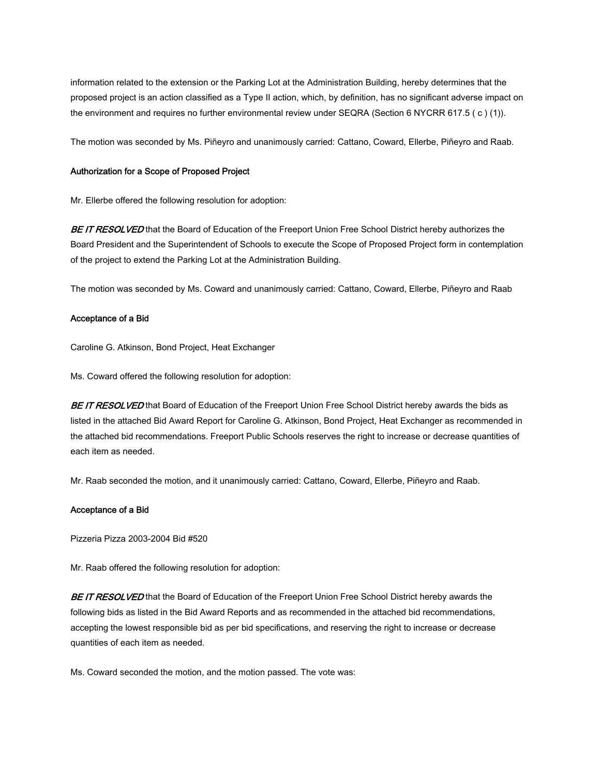information related to the extension or the Parking Lot at the Administration Building, hereby determines that the proposed project is an action classified as a Type II action, which, by definition, has no significant adverse impact on the environment and requires no further environmental review under SEQRA (Section 6 NYCRR 617.5 ( c ) (1)).

The motion was seconded by Ms. Piñeyro and unanimously carried: Cattano, Coward, Ellerbe, Piñeyro and Raab.

#### Authorization for a Scope of Proposed Project

Mr. Ellerbe offered the following resolution for adoption:

BE IT RESOLVED that the Board of Education of the Freeport Union Free School District hereby authorizes the Board President and the Superintendent of Schools to execute the Scope of Proposed Project form in contemplation of the project to extend the Parking Lot at the Administration Building.

The motion was seconded by Ms. Coward and unanimously carried: Cattano, Coward, Ellerbe, Piñeyro and Raab

### Acceptance of a Bid

Caroline G. Atkinson, Bond Project, Heat Exchanger

Ms. Coward offered the following resolution for adoption:

BE IT RESOLVED that Board of Education of the Freeport Union Free School District hereby awards the bids as listed in the attached Bid Award Report for Caroline G. Atkinson, Bond Project, Heat Exchanger as recommended in the attached bid recommendations. Freeport Public Schools reserves the right to increase or decrease quantities of each item as needed.

Mr. Raab seconded the motion, and it unanimously carried: Cattano, Coward, Ellerbe, Piñeyro and Raab.

#### Acceptance of a Bid

Pizzeria Pizza 2003-2004 Bid #520

Mr. Raab offered the following resolution for adoption:

BE IT RESOLVED that the Board of Education of the Freeport Union Free School District hereby awards the following bids as listed in the Bid Award Reports and as recommended in the attached bid recommendations, accepting the lowest responsible bid as per bid specifications, and reserving the right to increase or decrease quantities of each item as needed.

Ms. Coward seconded the motion, and the motion passed. The vote was: